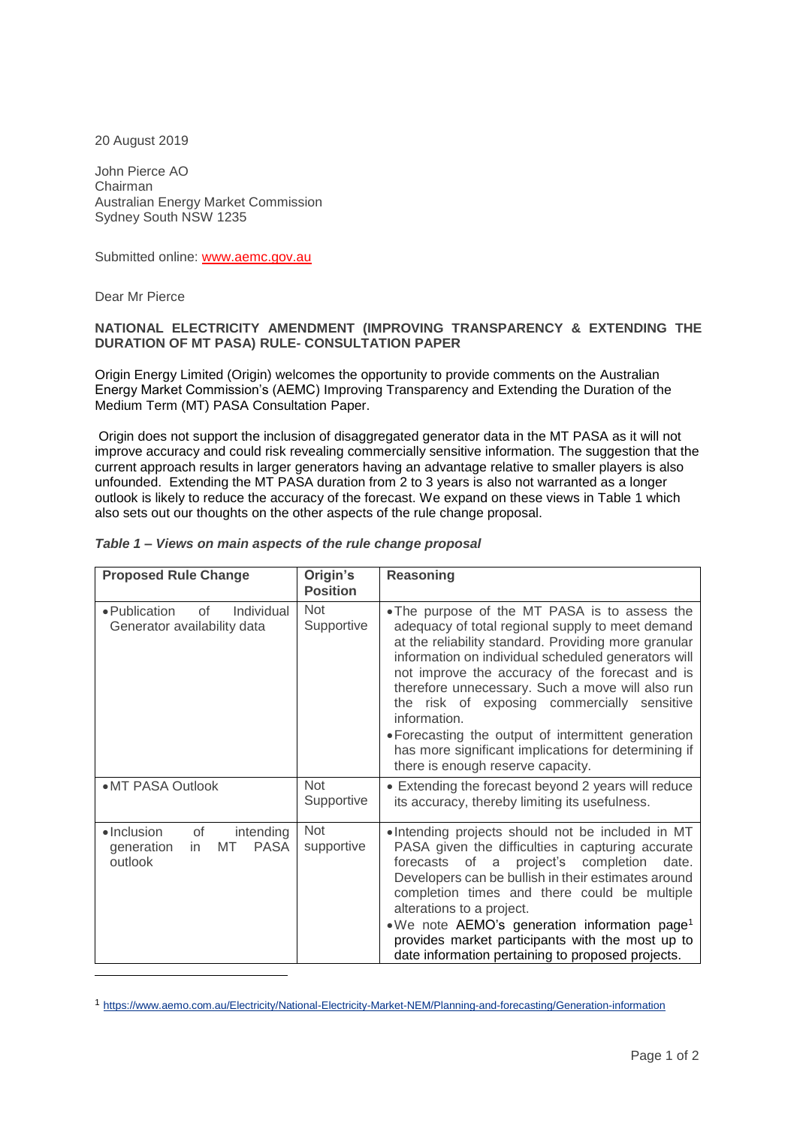20 August 2019

John Pierce AO Chairman Australian Energy Market Commission Sydney South NSW 1235

Submitted online: www.aemc.gov.au

Dear Mr Pierce

l

## **NATIONAL ELECTRICITY AMENDMENT (IMPROVING TRANSPARENCY & EXTENDING THE DURATION OF MT PASA) RULE- CONSULTATION PAPER**

Origin Energy Limited (Origin) welcomes the opportunity to provide comments on the Australian Energy Market Commission's (AEMC) Improving Transparency and Extending the Duration of the Medium Term (MT) PASA Consultation Paper.

Origin does not support the inclusion of disaggregated generator data in the MT PASA as it will not improve accuracy and could risk revealing commercially sensitive information. The suggestion that the current approach results in larger generators having an advantage relative to smaller players is also unfounded. Extending the MT PASA duration from 2 to 3 years is also not warranted as a longer outlook is likely to reduce the accuracy of the forecast. We expand on these views in Table 1 which also sets out our thoughts on the other aspects of the rule change proposal.

|  |  |  | Table 1 - Views on main aspects of the rule change proposal |
|--|--|--|-------------------------------------------------------------|
|--|--|--|-------------------------------------------------------------|

| <b>Proposed Rule Change</b>                                                                 | Origin's<br><b>Position</b> | Reasoning                                                                                                                                                                                                                                                                                                                                                                                                                                                                                                                                  |
|---------------------------------------------------------------------------------------------|-----------------------------|--------------------------------------------------------------------------------------------------------------------------------------------------------------------------------------------------------------------------------------------------------------------------------------------------------------------------------------------------------------------------------------------------------------------------------------------------------------------------------------------------------------------------------------------|
| Individual<br>• Publication<br>of<br>Generator availability data                            | <b>Not</b><br>Supportive    | • The purpose of the MT PASA is to assess the<br>adequacy of total regional supply to meet demand<br>at the reliability standard. Providing more granular<br>information on individual scheduled generators will<br>not improve the accuracy of the forecast and is<br>therefore unnecessary. Such a move will also run<br>the risk of exposing commercially sensitive<br>information.<br>• Forecasting the output of intermittent generation<br>has more significant implications for determining if<br>there is enough reserve capacity. |
| •MT PASA Outlook                                                                            | <b>Not</b><br>Supportive    | • Extending the forecast beyond 2 years will reduce<br>its accuracy, thereby limiting its usefulness.                                                                                                                                                                                                                                                                                                                                                                                                                                      |
| $\bullet$ Inclusion<br>of<br>intending<br>MT<br><b>PASA</b><br>generation<br>in.<br>outlook | Not<br>supportive           | . Intending projects should not be included in MT<br>PASA given the difficulties in capturing accurate<br>forecasts of a project's completion date.<br>Developers can be bullish in their estimates around<br>completion times and there could be multiple<br>alterations to a project.<br>.We note AEMO's generation information page <sup>1</sup><br>provides market participants with the most up to<br>date information pertaining to proposed projects.                                                                               |

<sup>1</sup> <https://www.aemo.com.au/Electricity/National-Electricity-Market-NEM/Planning-and-forecasting/Generation-information>